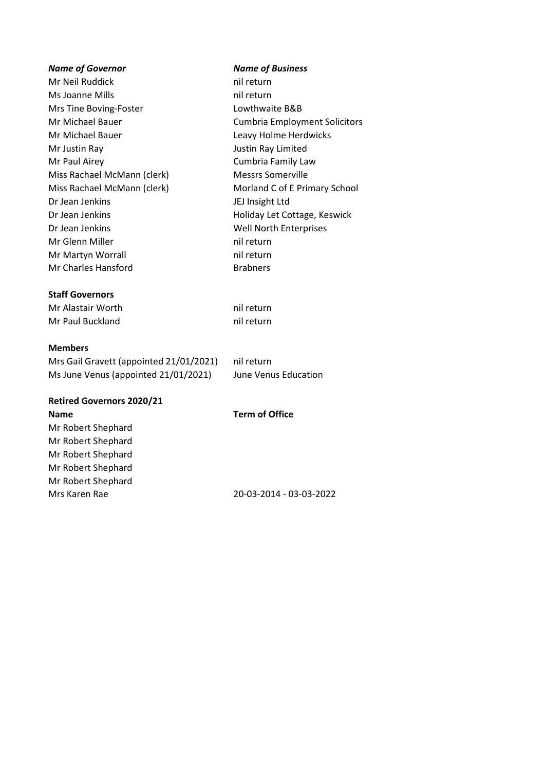# *Name of Governor Name of Business* Mr Neil Ruddick nil return Ms Joanne Mills nil return Mrs Tine Boving-Foster Lowthwaite B&B Mr Michael Bauer Cumbria Employment Solicitors Mr Michael Bauer **Leavy Holme Herdwicks** Mr Justin Ray Justin Ray Limited Mr Paul Airey **Cumbria Family Law** Miss Rachael McMann (clerk) Messrs Somerville Miss Rachael McMann (clerk) Morland C of E Primary School Dr Jean Jenkins JEJ Insight Ltd Dr Jean Jenkins **Holiday Let Cottage, Keswick** Dr Jean Jenkins Well North Enterprises Mr Glenn Miller nil return Mr Martyn Worrall **nights** nil return Mr Charles Hansford Brabners **Staff Governors** Mr Alastair Worth nil return

Mr Paul Buckland nil return

#### **Members**

Mrs Gail Gravett (appointed 21/01/2021) nil return Ms June Venus (appointed 21/01/2021) June Venus Education

### **Retired Governors 2020/21 Name Term of Office**

Mr Robert Shephard Mr Robert Shephard Mr Robert Shephard Mr Robert Shephard Mr Robert Shephard

Mrs Karen Rae 20-03-2014 - 03-03-2022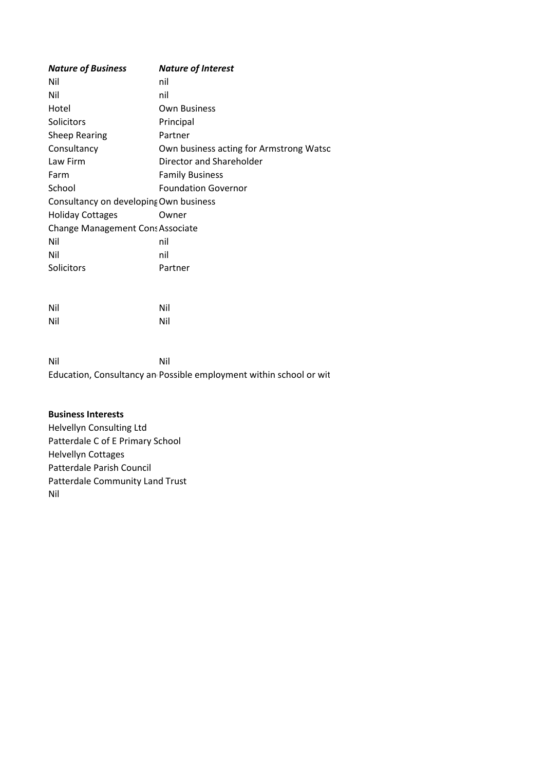| <b>Nature of Business</b>              | <b>Nature of Interest</b>               |
|----------------------------------------|-----------------------------------------|
| Nil                                    | nil                                     |
| Nil                                    | nil                                     |
| Hotel                                  | Own Business                            |
| Solicitors                             | Principal                               |
| <b>Sheep Rearing</b>                   | Partner                                 |
| Consultancy                            | Own business acting for Armstrong Watso |
| Law Firm                               | Director and Shareholder                |
| Farm                                   | <b>Family Business</b>                  |
| School                                 | <b>Foundation Governor</b>              |
| Consultancy on developing Own business |                                         |
| <b>Holiday Cottages</b>                | Owner                                   |
| Change Management Cons Associate       |                                         |
| Nil                                    | nil                                     |
| Nil                                    | nil                                     |
| Solicitors                             | Partner                                 |
|                                        |                                         |
|                                        |                                         |
|                                        |                                         |

| Nil | Nil |
|-----|-----|
| Nil | Nil |

Nil Nil Education, Consultancy an Possible employment within school or wit

#### **Business Interests** Helvellyn Consulting Ltd Patterdale C of E Primary School Helvellyn Cottages Patterdale Parish Council Patterdale Community Land Trust Nil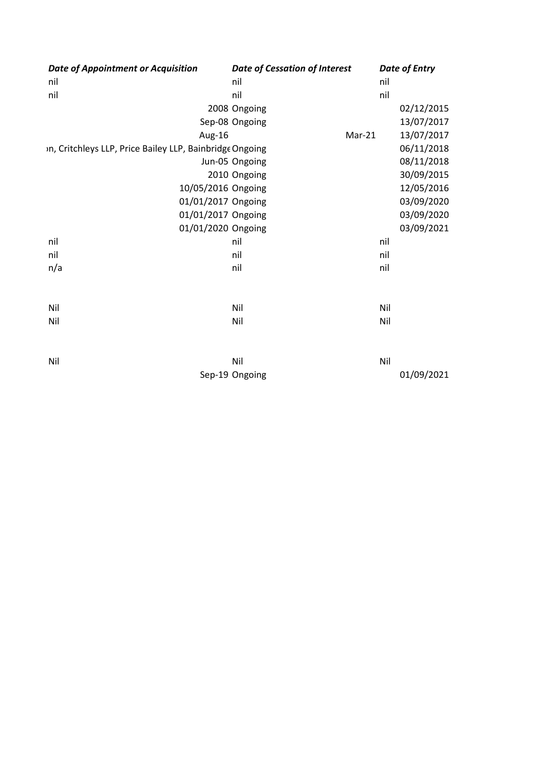| <b>Date of Appointment or Acquisition</b>                |                    | <b>Date of Cessation of Interest</b> |        |     | <b>Date of Entry</b> |
|----------------------------------------------------------|--------------------|--------------------------------------|--------|-----|----------------------|
| nil                                                      |                    | nil                                  |        | nil |                      |
| nil                                                      |                    | nil                                  |        | nil |                      |
|                                                          |                    | 2008 Ongoing                         |        |     | 02/12/2015           |
|                                                          |                    | Sep-08 Ongoing                       |        |     | 13/07/2017           |
|                                                          | Aug-16             |                                      | Mar-21 |     | 13/07/2017           |
| in, Critchleys LLP, Price Bailey LLP, Bainbridge Ongoing |                    |                                      |        |     | 06/11/2018           |
|                                                          |                    | Jun-05 Ongoing                       |        |     | 08/11/2018           |
|                                                          |                    | 2010 Ongoing                         |        |     | 30/09/2015           |
|                                                          | 10/05/2016 Ongoing |                                      |        |     | 12/05/2016           |
|                                                          | 01/01/2017 Ongoing |                                      |        |     | 03/09/2020           |
|                                                          | 01/01/2017 Ongoing |                                      |        |     | 03/09/2020           |
|                                                          | 01/01/2020 Ongoing |                                      |        |     | 03/09/2021           |
| nil                                                      |                    | nil                                  |        | nil |                      |
| nil                                                      |                    | nil                                  |        | nil |                      |
| n/a                                                      |                    | nil                                  |        | nil |                      |
| Nil                                                      |                    | Nil                                  |        | Nil |                      |
| Nil                                                      |                    | Nil                                  |        | Nil |                      |
|                                                          |                    |                                      |        |     |                      |
| Nil                                                      |                    | Nil                                  |        | Nil |                      |
|                                                          |                    | Sep-19 Ongoing                       |        |     | 01/09/2021           |